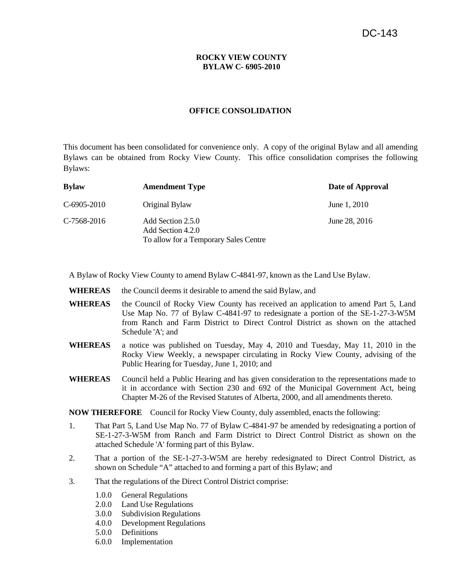## **ROCKY VIEW COUNTY BYLAW C- 6905-2010**

#### **OFFICE CONSOLIDATION**

This document has been consolidated for convenience only. A copy of the original Bylaw and all amending Bylaws can be obtained from Rocky View County. This office consolidation comprises the following Bylaws:

| <b>Bylaw</b> | <b>Amendment Type</b>                                                           | Date of Approval |
|--------------|---------------------------------------------------------------------------------|------------------|
| C-6905-2010  | Original Bylaw                                                                  | June 1, 2010     |
| C-7568-2016  | Add Section 2.5.0<br>Add Section 4.2.0<br>To allow for a Temporary Sales Centre | June 28, 2016    |

A Bylaw of Rocky View County to amend Bylaw C-4841-97, known as the Land Use Bylaw.

- **WHEREAS** the Council deems it desirable to amend the said Bylaw, and
- **WHEREAS** the Council of Rocky View County has received an application to amend Part 5, Land Use Map No. 77 of Bylaw C-4841-97 to redesignate a portion of the SE-1-27-3-W5M from Ranch and Farm District to Direct Control District as shown on the attached Schedule 'A'; and
- **WHEREAS** a notice was published on Tuesday, May 4, 2010 and Tuesday, May 11, 2010 in the Rocky View Weekly, a newspaper circulating in Rocky View County, advising of the Public Hearing for Tuesday, June 1, 2010; and
- **WHEREAS** Council held a Public Hearing and has given consideration to the representations made to it in accordance with Section 230 and 692 of the Municipal Government Act, being Chapter M-26 of the Revised Statutes of Alberta, 2000, and all amendments thereto.

**NOW THEREFORE** Council for Rocky View County, duly assembled, enacts the following:

- 1. That Part 5, Land Use Map No. 77 of Bylaw C-4841-97 be amended by redesignating a portion of SE-1-27-3-W5M from Ranch and Farm District to Direct Control District as shown on the attached Schedule 'A' forming part of this Bylaw.
- 2. That a portion of the SE-1-27-3-W5M are hereby redesignated to Direct Control District, as shown on Schedule "A" attached to and forming a part of this Bylaw; and
- 3. That the regulations of the Direct Control District comprise:
	- 1.0.0 General Regulations
	- 2.0.0 Land Use Regulations
	- 3.0.0 Subdivision Regulations
	- 4.0.0 Development Regulations
	- 5.0.0 Definitions
	- 6.0.0 Implementation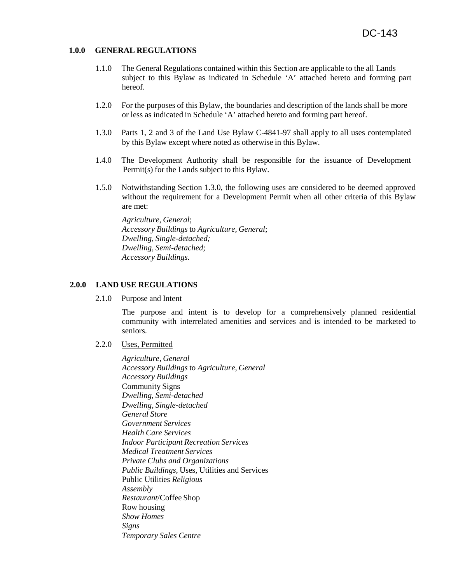#### **1.0.0 GENERAL REGULATIONS**

- 1.1.0 The General Regulations contained within this Section are applicable to the all Lands subject to this Bylaw as indicated in Schedule 'A' attached hereto and forming part hereof.
- 1.2.0 For the purposes of this Bylaw, the boundaries and description of the lands shall be more or less as indicated in Schedule 'A' attached hereto and forming part hereof.
- 1.3.0 Parts 1, 2 and 3 of the Land Use Bylaw C-4841-97 shall apply to all uses contemplated by this Bylaw except where noted as otherwise in this Bylaw.
- 1.4.0 The Development Authority shall be responsible for the issuance of Development Permit(s) for the Lands subject to this Bylaw.
- 1.5.0 Notwithstanding Section 1.3.0, the following uses are considered to be deemed approved without the requirement for a Development Permit when all other criteria of this Bylaw are met:

*Agriculture, General*; *Accessory Buildings* to *Agriculture, General*; *Dwelling, Single-detached; Dwelling, Semi-detached; Accessory Buildings.*

### **2.0.0 LAND USE REGULATIONS**

2.1.0 Purpose and Intent

The purpose and intent is to develop for a comprehensively planned residential community with interrelated amenities and services and is intended to be marketed to seniors.

2.2.0 Uses, Permitted

*Agriculture, General Accessory Buildings* to *Agriculture, General Accessory Buildings*  Community Signs *Dwelling*, *Semi-detached Dwelling*, *Single-detached General Store Government Services Health Care Services Indoor Participant Recreation Services Medical Treatment Services Private Clubs and Organizations Public Buildings,* Uses, Utilities and Services Public Utilities *Religious Assembly Restaurant*/Coffee Shop Row housing *Show Homes Signs Temporary Sales Centre*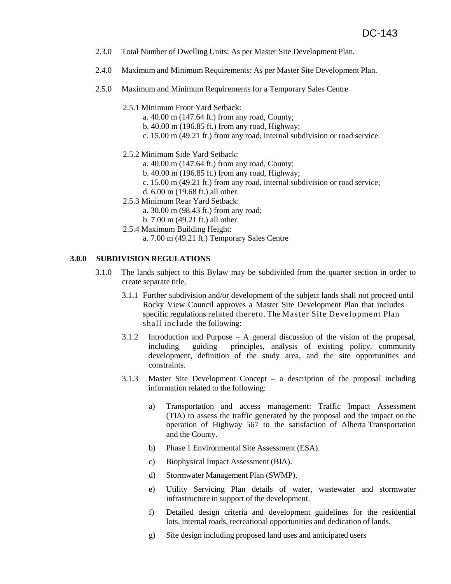- 2.3.0 Total Number of Dwelling Units: As per Master Site Development Plan.
- 2.4.0 Maximum and Minimum Requirements: As per Master Site Development Plan.
- 2.5.0 Maximum and Minimum Requirements for a Temporary Sales Centre
	- 2.5.1 Minimum Front Yard Setback:
		- a. 40.00 m (147.64 ft.) from any road, County;
		- b. 40.00 m (196.85 ft.) from any road, Highway;
		- c. 15.00 m (49.21 ft.) from any road, internal subdivision or road service.
	- 2.5.2 Minimum Side Yard Setback:
		- a. 40.00 m (147.64 ft.) from any road, County;
		- b. 40.00 m (196.85 ft.) from any road, Highway;
		- c. 15.00 m (49.21 ft.) from any road, internal subdivision or road service;
		- d. 6.00 m (19.68 ft.) all other.
	- 2.5.3 Minimum Rear Yard Setback:
		- a. 30.00 m (98.43 ft.) from any road;
		- b. 7.00 m (49.21 ft.) all other.
	- 2.5.4 Maximum Building Height:
		- a. 7.00 m (49.21 ft.) Temporary Sales Centre

## **3.0.0 SUBDIVISION REGULATIONS**

- 3.1.0 The lands subject to this Bylaw may be subdivided from the quarter section in order to create separate title.
	- 3.1.1 Further subdivision and/or development of the subject lands shall not proceed until Rocky View Council approves a Master Site Development Plan that includes specific regulations related thereto. The Master Site Development Plan shall include the following:
	- 3.1.2 Introduction and Purpose A general discussion of the vision of the proposal, including guiding principles, analysis of existing policy, community development, definition of the study area, and the site opportunities and constraints.
	- 3.1.3 Master Site Development Concept a description of the proposal including information related to the following:
		- a) Transportation and access management: Traffic Impact Assessment (TIA) to assess the traffic generated by the proposal and the impact on the operation of Highway 567 to the satisfaction of Alberta Transportation and the County.
		- b) Phase 1 Environmental Site Assessment (ESA).
		- c) Biophysical Impact Assessment (BIA).
		- d) Stormwater Management Plan (SWMP).
		- e) Utility Servicing Plan details of water, wastewater and stormwater infrastructure in support of the development.
		- f) Detailed design criteria and development guidelines for the residential lots, internal roads, recreational opportunities and dedication of lands.
		- g) Site design including proposed land uses and anticipated users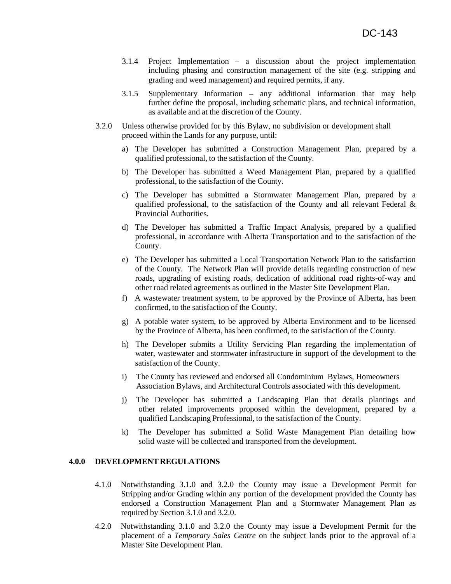- 3.1.4 Project Implementation a discussion about the project implementation including phasing and construction management of the site (e.g. stripping and grading and weed management) and required permits, if any.
- 3.1.5 Supplementary Information any additional information that may help further define the proposal, including schematic plans, and technical information, as available and at the discretion of the County.
- 3.2.0 Unless otherwise provided for by this Bylaw, no subdivision or development shall proceed within the Lands for any purpose, until:
	- a) The Developer has submitted a Construction Management Plan, prepared by a qualified professional, to the satisfaction of the County.
	- b) The Developer has submitted a Weed Management Plan, prepared by a qualified professional, to the satisfaction of the County.
	- c) The Developer has submitted a Stormwater Management Plan, prepared by a qualified professional, to the satisfaction of the County and all relevant Federal  $\&$ Provincial Authorities.
	- d) The Developer has submitted a Traffic Impact Analysis, prepared by a qualified professional, in accordance with Alberta Transportation and to the satisfaction of the County.
	- e) The Developer has submitted a Local Transportation Network Plan to the satisfaction of the County. The Network Plan will provide details regarding construction of new roads, upgrading of existing roads, dedication of additional road rights-of-way and other road related agreements as outlined in the Master Site Development Plan.
	- f) A wastewater treatment system, to be approved by the Province of Alberta, has been confirmed, to the satisfaction of the County.
	- g) A potable water system, to be approved by Alberta Environment and to be licensed by the Province of Alberta, has been confirmed, to the satisfaction of the County.
	- h) The Developer submits a Utility Servicing Plan regarding the implementation of water, wastewater and stormwater infrastructure in support of the development to the satisfaction of the County.
	- i) The County has reviewed and endorsed all Condominium Bylaws, Homeowners Association Bylaws, and Architectural Controls associated with this development.
	- j) The Developer has submitted a Landscaping Plan that details plantings and other related improvements proposed within the development, prepared by a qualified Landscaping Professional, to the satisfaction of the County.
	- k) The Developer has submitted a Solid Waste Management Plan detailing how solid waste will be collected and transported from the development.

## **4.0.0 DEVELOPMENT REGULATIONS**

- 4.1.0 Notwithstanding 3.1.0 and 3.2.0 the County may issue a Development Permit for Stripping and/or Grading within any portion of the development provided the County has endorsed a Construction Management Plan and a Stormwater Management Plan as required by Section 3.1.0 and 3.2.0.
- 4.2.0 Notwithstanding 3.1.0 and 3.2.0 the County may issue a Development Permit for the placement of a *Temporary Sales Centre* on the subject lands prior to the approval of a Master Site Development Plan.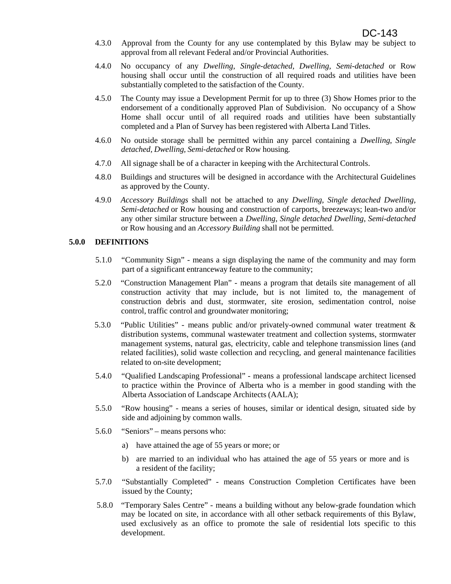- 4.3.0 Approval from the County for any use contemplated by this Bylaw may be subject to approval from all relevant Federal and/or Provincial Authorities.
- 4.4.0 No occupancy of any *Dwelling*, *Single-detached, Dwelling, Semi-detached* or Row housing shall occur until the construction of all required roads and utilities have been substantially completed to the satisfaction of the County.
- 4.5.0 The County may issue a Development Permit for up to three (3) Show Homes prior to the endorsement of a conditionally approved Plan of Subdivision. No occupancy of a Show Home shall occur until of all required roads and utilities have been substantially completed and a Plan of Survey has been registered with Alberta Land Titles.
- 4.6.0 No outside storage shall be permitted within any parcel containing a *Dwelling*, *Single detached, Dwelling, Semi-detached* or Row housing*.*
- 4.7.0 All signage shall be of a character in keeping with the Architectural Controls.
- 4.8.0 Buildings and structures will be designed in accordance with the Architectural Guidelines as approved by the County.
- 4.9.0 *Accessory Buildings* shall not be attached to any *Dwelling*, *Single detached Dwelling, Semi-detached* or Row housing and construction of carports, breezeways; lean-two and/or any other similar structure between a *Dwelling*, *Single detached Dwelling, Semi-detached*  or Row housing and an *Accessory Building* shall not be permitted.

### **5.0.0 DEFINITIONS**

- 5.1.0 "Community Sign" means a sign displaying the name of the community and may form part of a significant entranceway feature to the community;
- 5.2.0 "Construction Management Plan" means a program that details site management of all construction activity that may include, but is not limited to, the management of construction debris and dust, stormwater, site erosion, sedimentation control, noise control, traffic control and groundwater monitoring;
- 5.3.0 "Public Utilities" means public and/or privately-owned communal water treatment & distribution systems, communal wastewater treatment and collection systems, stormwater management systems, natural gas, electricity, cable and telephone transmission lines (and related facilities), solid waste collection and recycling, and general maintenance facilities related to on-site development;
- 5.4.0 "Qualified Landscaping Professional" means a professional landscape architect licensed to practice within the Province of Alberta who is a member in good standing with the Alberta Association of Landscape Architects (AALA);
- 5.5.0 "Row housing" means a series of houses, similar or identical design, situated side by side and adjoining by common walls.
- 5.6.0 "Seniors" means persons who:
	- a) have attained the age of 55 years or more; or
	- b) are married to an individual who has attained the age of 55 years or more and is a resident of the facility;
- 5.7.0 "Substantially Completed" means Construction Completion Certificates have been issued by the County;
- 5.8.0 "Temporary Sales Centre" means a building without any below-grade foundation which may be located on site, in accordance with all other setback requirements of this Bylaw, used exclusively as an office to promote the sale of residential lots specific to this development.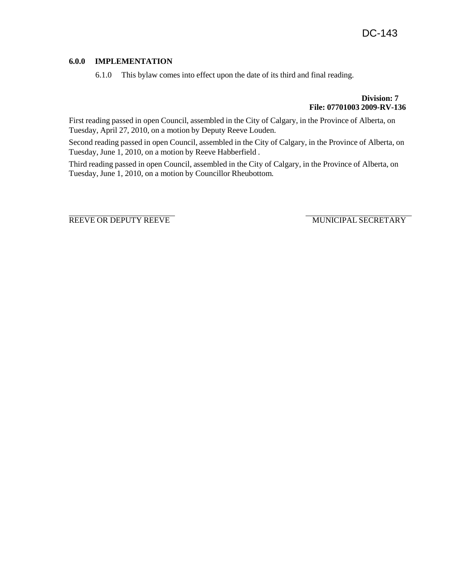# **6.0.0 IMPLEMENTATION**

6.1.0 This bylaw comes into effect upon the date of its third and final reading.

**Division: 7 File: 07701003 2009-RV-136**

First reading passed in open Council, assembled in the City of Calgary, in the Province of Alberta, on Tuesday, April 27, 2010, on a motion by Deputy Reeve Louden.

Second reading passed in open Council, assembled in the City of Calgary, in the Province of Alberta, on Tuesday, June 1, 2010, on a motion by Reeve Habberfield .

Third reading passed in open Council, assembled in the City of Calgary, in the Province of Alberta, on Tuesday, June 1, 2010, on a motion by Councillor Rheubottom.

REEVE OR DEPUTY REEVE WUNICIPAL SECRETARY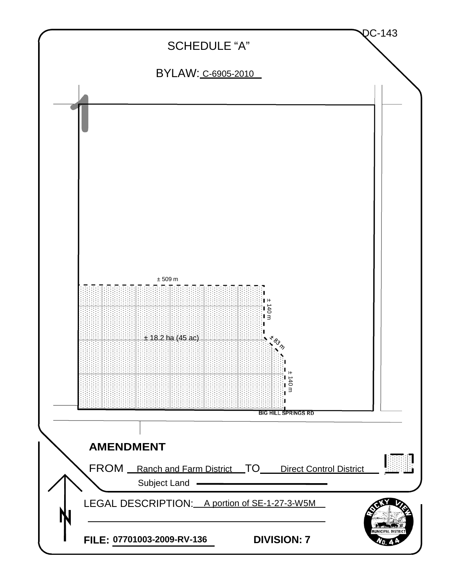